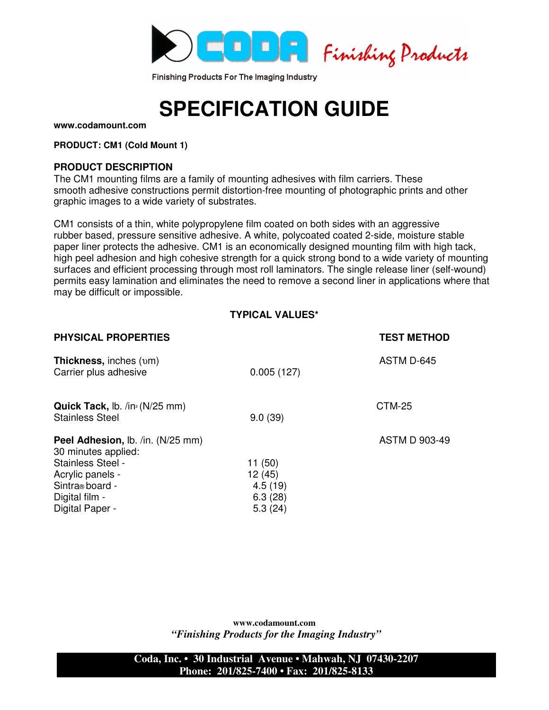

Finishing Products For The Imaging Industry

# **SPECIFICATION GUIDE**

**www.codamount.com**

**PRODUCT: CM1 (Cold Mount 1)**

### **PRODUCT DESCRIPTION**

The CM1 mounting films are a family of mounting adhesives with film carriers. These smooth adhesive constructions permit distortion-free mounting of photographic prints and other graphic images to a wide variety of substrates.

CM1 consists of a thin, white polypropylene film coated on both sides with an aggressive rubber based, pressure sensitive adhesive. A white, polycoated coated 2-side, moisture stable paper liner protects the adhesive. CM1 is an economically designed mounting film with high tack, high peel adhesion and high cohesive strength for a quick strong bond to a wide variety of mounting surfaces and efficient processing through most roll laminators. The single release liner (self-wound) permits easy lamination and eliminates the need to remove a second liner in applications where that may be difficult or impossible.

## **TYPICAL VALUES\***

| <b>PHYSICAL PROPERTIES</b>                                                                                                                                       |                                                   | <b>TEST METHOD</b>   |
|------------------------------------------------------------------------------------------------------------------------------------------------------------------|---------------------------------------------------|----------------------|
| <b>Thickness, inches (pm)</b><br>Carrier plus adhesive                                                                                                           | 0.005(127)                                        | ASTM D-645           |
| Quick Tack, lb. /in <sup>2</sup> (N/25 mm)<br><b>Stainless Steel</b>                                                                                             | 9.0(39)                                           | <b>CTM-25</b>        |
| <b>Peel Adhesion, Ib. /in. (N/25 mm)</b><br>30 minutes applied:<br>Stainless Steel -<br>Acrylic panels -<br>Sintra® board -<br>Digital film -<br>Digital Paper - | 11(50)<br>12(45)<br>4.5(19)<br>6.3(28)<br>5.3(24) | <b>ASTM D 903-49</b> |

**www.codamount.com**  *"Finishing Products for the Imaging Industry"*